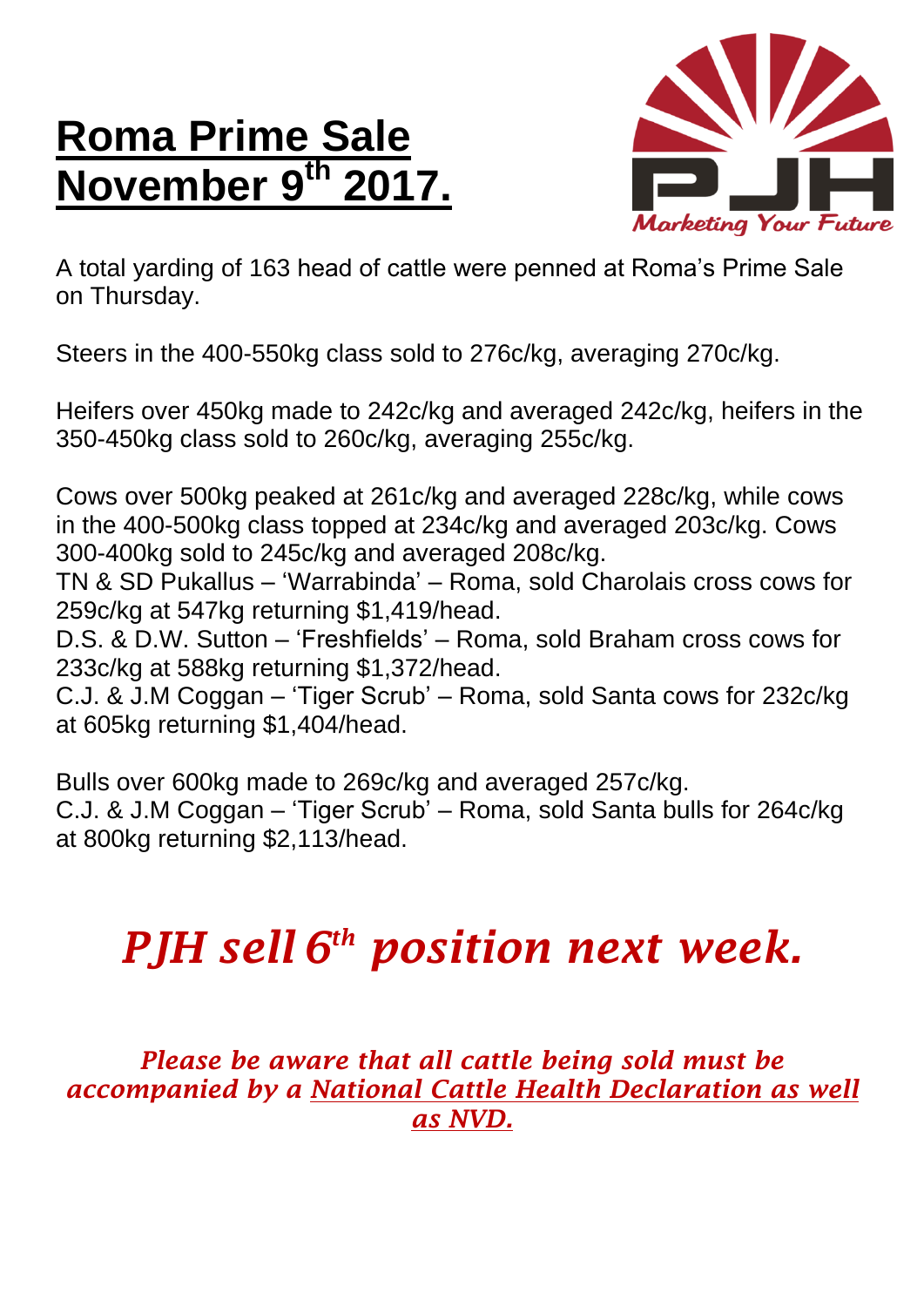## **Roma Prime Sale November 9 th 2017.**



A total yarding of 163 head of cattle were penned at Roma's Prime Sale on Thursday.

Steers in the 400-550kg class sold to 276c/kg, averaging 270c/kg.

Heifers over 450kg made to 242c/kg and averaged 242c/kg, heifers in the 350-450kg class sold to 260c/kg, averaging 255c/kg.

Cows over 500kg peaked at 261c/kg and averaged 228c/kg, while cows in the 400-500kg class topped at 234c/kg and averaged 203c/kg. Cows 300-400kg sold to 245c/kg and averaged 208c/kg.

TN & SD Pukallus – 'Warrabinda' – Roma, sold Charolais cross cows for 259c/kg at 547kg returning \$1,419/head.

D.S. & D.W. Sutton – 'Freshfields' – Roma, sold Braham cross cows for 233c/kg at 588kg returning \$1,372/head.

C.J. & J.M Coggan – 'Tiger Scrub' – Roma, sold Santa cows for 232c/kg at 605kg returning \$1,404/head.

Bulls over 600kg made to 269c/kg and averaged 257c/kg. C.J. & J.M Coggan – 'Tiger Scrub' – Roma, sold Santa bulls for 264c/kg at 800kg returning \$2,113/head.

## *PJH sell 6 th position next week.*

*Please be aware that all cattle being sold must be accompanied by a National Cattle Health Declaration as well as NVD.*